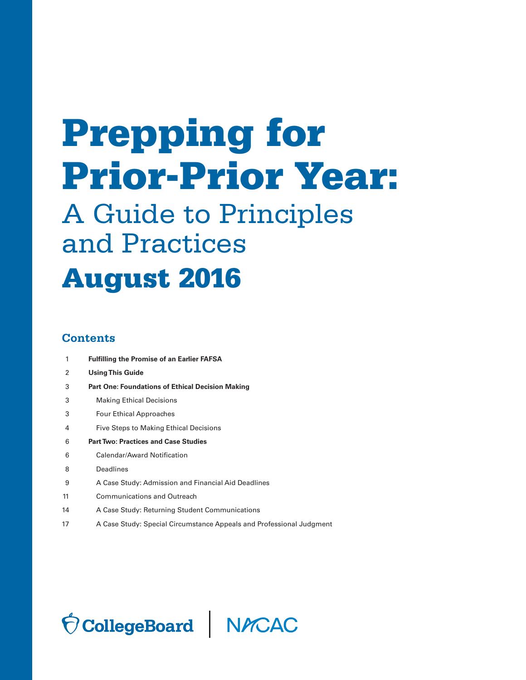# Prepping for Prior-Prior Year:

# A Guide to Principles and Practices August 2016

## **Contents**

| 1  | <b>Fulfilling the Promise of an Earlier FAFSA</b>                    |
|----|----------------------------------------------------------------------|
| 2  | <b>Using This Guide</b>                                              |
| 3  | <b>Part One: Foundations of Ethical Decision Making</b>              |
| 3  | <b>Making Ethical Decisions</b>                                      |
| 3  | <b>Four Ethical Approaches</b>                                       |
| 4  | <b>Five Steps to Making Ethical Decisions</b>                        |
| 6  | <b>Part Two: Practices and Case Studies</b>                          |
| 6  | <b>Calendar/Award Notification</b>                                   |
| 8  | Deadlines                                                            |
| 9  | A Case Study: Admission and Financial Aid Deadlines                  |
| 11 | <b>Communications and Outreach</b>                                   |
| 14 | A Case Study: Returning Student Communications                       |
| 17 | A Case Study: Special Circumstance Appeals and Professional Judgment |

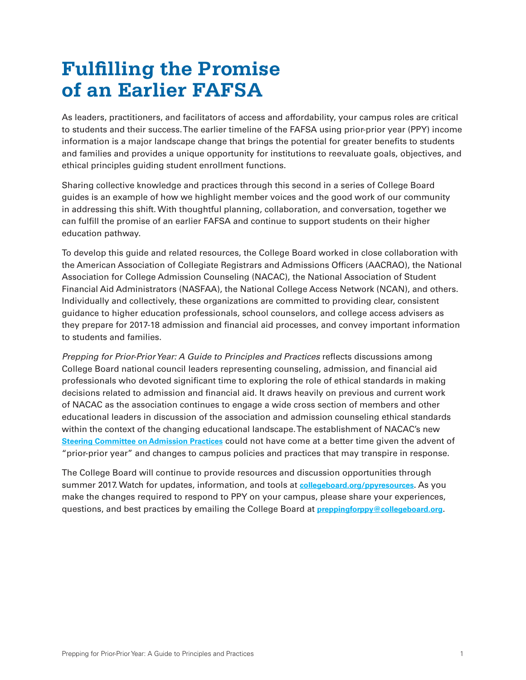## **Fulfilling the Promise of an Earlier FAFSA**

As leaders, practitioners, and facilitators of access and affordability, your campus roles are critical to students and their success. The earlier timeline of the FAFSA using prior-prior year (PPY) income information is a major landscape change that brings the potential for greater benefits to students and families and provides a unique opportunity for institutions to reevaluate goals, objectives, and ethical principles guiding student enrollment functions.

Sharing collective knowledge and practices through this second in a series of College Board guides is an example of how we highlight member voices and the good work of our community in addressing this shift. With thoughtful planning, collaboration, and conversation, together we can fulfill the promise of an earlier FAFSA and continue to support students on their higher education pathway.

To develop this guide and related resources, the College Board worked in close collaboration with the American Association of Collegiate Registrars and Admissions Officers (AACRAO), the National Association for College Admission Counseling (NACAC), the National Association of Student Financial Aid Administrators (NASFAA), the National College Access Network (NCAN), and others. Individually and collectively, these organizations are committed to providing clear, consistent guidance to higher education professionals, school counselors, and college access advisers as they prepare for 2017-18 admission and financial aid processes, and convey important information to students and families.

*Prepping for Prior-Prior Year: A Guide to Principles and Practices* reflects discussions among College Board national council leaders representing counseling, admission, and financial aid professionals who devoted significant time to exploring the role of ethical standards in making decisions related to admission and financial aid. It draws heavily on previous and current work of NACAC as the association continues to engage a wide cross section of members and other educational leaders in discussion of the association and admission counseling ethical standards within the context of the changing educational landscape. The establishment of NACAC's new **[Steering Committee on Admission Practices](http://www.nacacnet.org/research/PublicationsResources/bulletin/2016Bulletin/03-23-2016/Pages/SteeringCommittee.aspx)** could not have come at a better time given the advent of "prior-prior year" and changes to campus policies and practices that may transpire in response.

The College Board will continue to provide resources and discussion opportunities through summer 2017. Watch for updates, information, and tools at **[collegeboard.org/ppyresources](http://collegeboard.org/ppyresources)**. As you make the changes required to respond to PPY on your campus, please share your experiences, questions, and best practices by emailing the College Board at **preppingforppy@collegeboard.org**.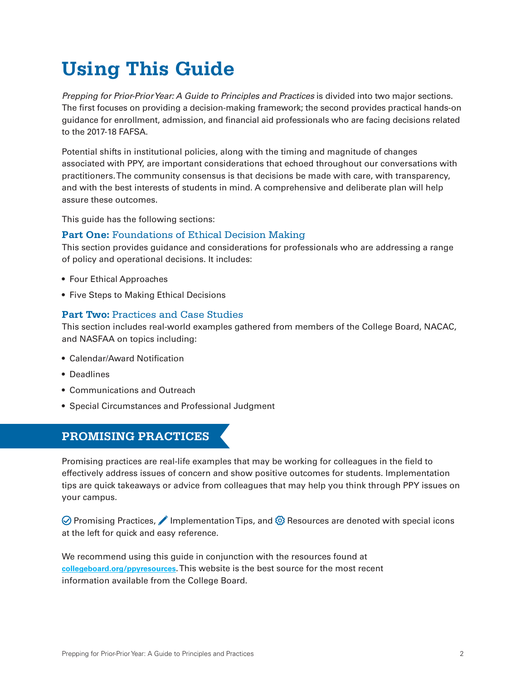# <span id="page-2-0"></span>**Using This Guide**

*Prepping for Prior-Prior Year: A Guide to Principles and Practices* is divided into two major sections. The first focuses on providing a decision-making framework; the second provides practical hands-on guidance for enrollment, admission, and financial aid professionals who are facing decisions related to the 2017-18 FAFSA.

Potential shifts in institutional policies, along with the timing and magnitude of changes associated with PPY, are important considerations that echoed throughout our conversations with practitioners. The community consensus is that decisions be made with care, with transparency, and with the best interests of students in mind. A comprehensive and deliberate plan will help assure these outcomes.

This guide has the following sections:

## **Part One:** Foundations of Ethical Decision Making

This section provides guidance and considerations for professionals who are addressing a range of policy and operational decisions. It includes:

- Four Ethical Approaches
- Five Steps to Making Ethical Decisions

## **Part Two:** Practices and Case Studies

This section includes real-world examples gathered from members of the College Board, NACAC, and NASFAA on topics including:

- Calendar/Award Notification
- Deadlines
- Communications and Outreach
- Special Circumstances and Professional Judgment

## **PROMISING PRACTICES**

Promising practices are real-life examples that may be working for colleagues in the field to effectively address issues of concern and show positive outcomes for students. Implementation tips are quick takeaways or advice from colleagues that may help you think through PPY issues on your campus.

⊘ Promising Practices,  $\blacktriangleright$  Implementation Tips, and  $\mathbb{Q}$  Resources are denoted with special icons at the left for quick and easy reference.

We recommend using this guide in conjunction with the resources found at **[collegeboard.org/ppyresources](http://collegeboard.org/ppyresources)**. This website is the best source for the most recent information available from the College Board.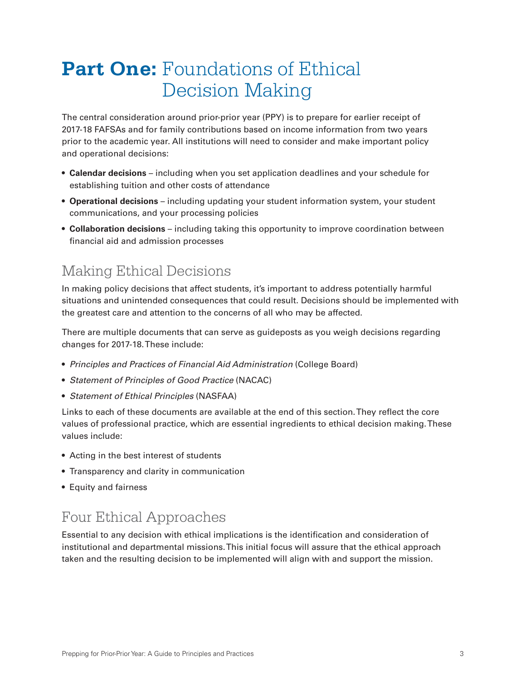## <span id="page-3-0"></span>**Part One: Foundations of Ethical** Decision Making

The central consideration around prior-prior year (PPY) is to prepare for earlier receipt of 2017-18 FAFSAs and for family contributions based on income information from two years prior to the academic year. All institutions will need to consider and make important policy and operational decisions:

- • **Calendar decisions** including when you set application deadlines and your schedule for establishing tuition and other costs of attendance
- • **Operational decisions** including updating your student information system, your student communications, and your processing policies
- • **Collaboration decisions** including taking this opportunity to improve coordination between financial aid and admission processes

## Making Ethical Decisions

In making policy decisions that affect students, it's important to address potentially harmful situations and unintended consequences that could result. Decisions should be implemented with the greatest care and attention to the concerns of all who may be affected.

There are multiple documents that can serve as guideposts as you weigh decisions regarding changes for 2017-18. These include:

- • *Principles and Practices of Financial Aid Administration* (College Board)
- • *Statement of Principles of Good Practice* (NACAC)
- • *Statement of Ethical Principles* (NASFAA)

Links to each of these documents are available at the end of this section. They reflect the core values of professional practice, which are essential ingredients to ethical decision making. These values include:

- Acting in the best interest of students
- Transparency and clarity in communication
- Equity and fairness

## Four Ethical Approaches

Essential to any decision with ethical implications is the identification and consideration of institutional and departmental missions. This initial focus will assure that the ethical approach taken and the resulting decision to be implemented will align with and support the mission.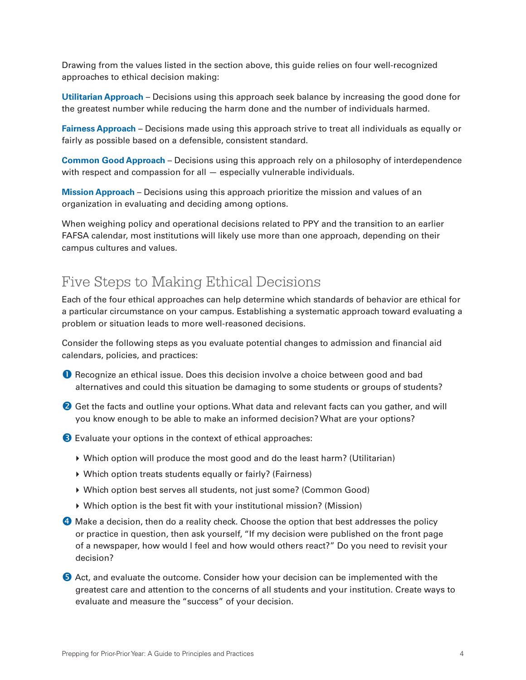<span id="page-4-0"></span>Drawing from the values listed in the section above, this guide relies on four well-recognized approaches to ethical decision making:

**Utilitarian Approach** – Decisions using this approach seek balance by increasing the good done for the greatest number while reducing the harm done and the number of individuals harmed.

**Fairness Approach** – Decisions made using this approach strive to treat all individuals as equally or fairly as possible based on a defensible, consistent standard.

**Common Good Approach** – Decisions using this approach rely on a philosophy of interdependence with respect and compassion for all – especially vulnerable individuals.

**Mission Approach** – Decisions using this approach prioritize the mission and values of an organization in evaluating and deciding among options.

When weighing policy and operational decisions related to PPY and the transition to an earlier FAFSA calendar, most institutions will likely use more than one approach, depending on their campus cultures and values.

## Five Steps to Making Ethical Decisions

Each of the four ethical approaches can help determine which standards of behavior are ethical for a particular circumstance on your campus. Establishing a systematic approach toward evaluating a problem or situation leads to more well-reasoned decisions.

Consider the following steps as you evaluate potential changes to admission and financial aid calendars, policies, and practices:

- **O** Recognize an ethical issue. Does this decision involve a choice between good and bad alternatives and could this situation be damaging to some students or groups of students?
- **2** Get the facts and outline your options. What data and relevant facts can you gather, and will you know enough to be able to make an informed decision? What are your options?

**B** Evaluate your options in the context of ethical approaches:

- Which option will produce the most good and do the least harm? (Utilitarian)
- Which option treats students equally or fairly? (Fairness)
- Which option best serves all students, not just some? (Common Good)
- Which option is the best fit with your institutional mission? (Mission)

**4** Make a decision, then do a reality check. Choose the option that best addresses the policy or practice in question, then ask yourself, "If my decision were published on the front page of a newspaper, how would I feel and how would others react?" Do you need to revisit your decision?

**S** Act, and evaluate the outcome. Consider how your decision can be implemented with the greatest care and attention to the concerns of all students and your institution. Create ways to evaluate and measure the "success" of your decision.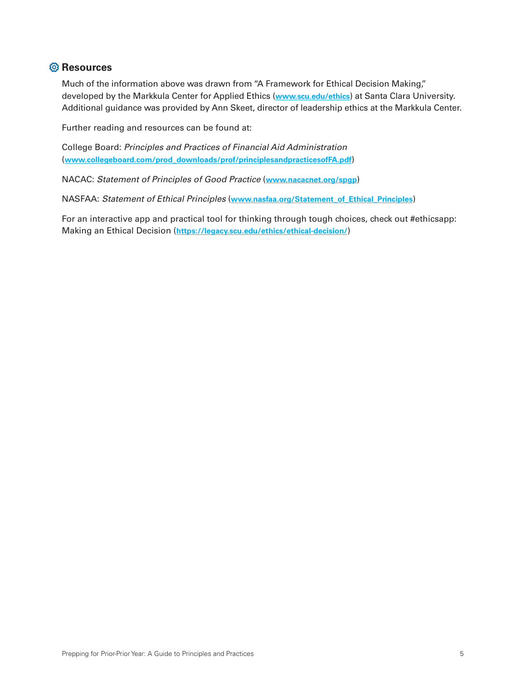## **Resources**

Much of the information above was drawn from "A Framework for Ethical Decision Making," developed by the Markkula Center for Applied Ethics (**<www.scu.edu/ethics>**) at Santa Clara University. Additional guidance was provided by Ann Skeet, director of leadership ethics at the Markkula Center.

Further reading and resources can be found at:

College Board: *Principles and Practices of Financial Aid Administration*  (**[www.collegeboard.com/prod\\_downloads/prof/principlesandpracticesofFA.pdf](www.collegeboard.com/prod_downloads/prof/principlesandpracticesofFA.pdf)**)

NACAC: *Statement of Principles of Good Practice* (**<www.nacacnet.org/spgp>**)

NASFAA: *Statement of Ethical Principles* (**[www.nasfaa.org/Statement\\_of\\_Ethical\\_Principles](www.nasfaa.org/Statement_of_Ethical_Principles)**)

For an interactive app and practical tool for thinking through tough choices, check out #ethicsapp: Making an Ethical Decision (**<https://legacy.scu.edu/ethics/ethical-decision/>**)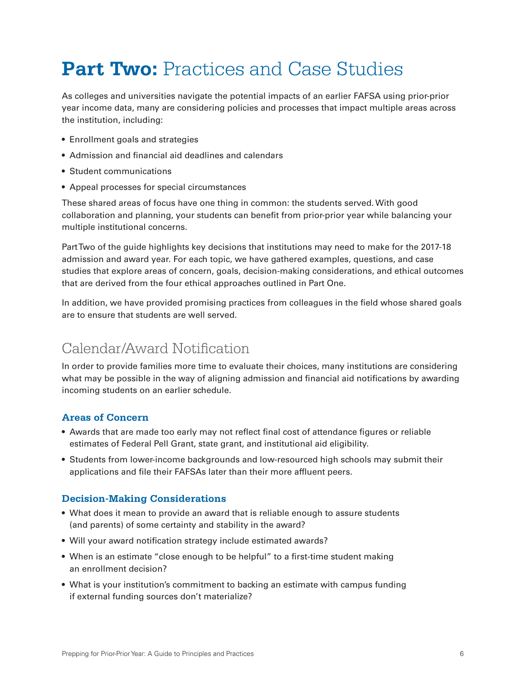# <span id="page-6-0"></span>**Part Two: Practices and Case Studies**

As colleges and universities navigate the potential impacts of an earlier FAFSA using prior-prior year income data, many are considering policies and processes that impact multiple areas across the institution, including:

- Enrollment goals and strategies
- Admission and financial aid deadlines and calendars
- Student communications
- Appeal processes for special circumstances

These shared areas of focus have one thing in common: the students served. With good collaboration and planning, your students can benefit from prior-prior year while balancing your multiple institutional concerns.

Part Two of the guide highlights key decisions that institutions may need to make for the 2017-18 admission and award year. For each topic, we have gathered examples, questions, and case studies that explore areas of concern, goals, decision-making considerations, and ethical outcomes that are derived from the four ethical approaches outlined in Part One.

In addition, we have provided promising practices from colleagues in the field whose shared goals are to ensure that students are well served.

## Calendar/Award Notification

In order to provide families more time to evaluate their choices, many institutions are considering what may be possible in the way of aligning admission and financial aid notifications by awarding incoming students on an earlier schedule.

## **Areas of Concern**

- Awards that are made too early may not reflect final cost of attendance figures or reliable estimates of Federal Pell Grant, state grant, and institutional aid eligibility.
- Students from lower-income backgrounds and low-resourced high schools may submit their applications and file their FAFSAs later than their more affluent peers.

## **Decision-Making Considerations**

- What does it mean to provide an award that is reliable enough to assure students (and parents) of some certainty and stability in the award?
- Will your award notification strategy include estimated awards?
- When is an estimate "close enough to be helpful" to a first-time student making an enrollment decision?
- What is your institution's commitment to backing an estimate with campus funding if external funding sources don't materialize?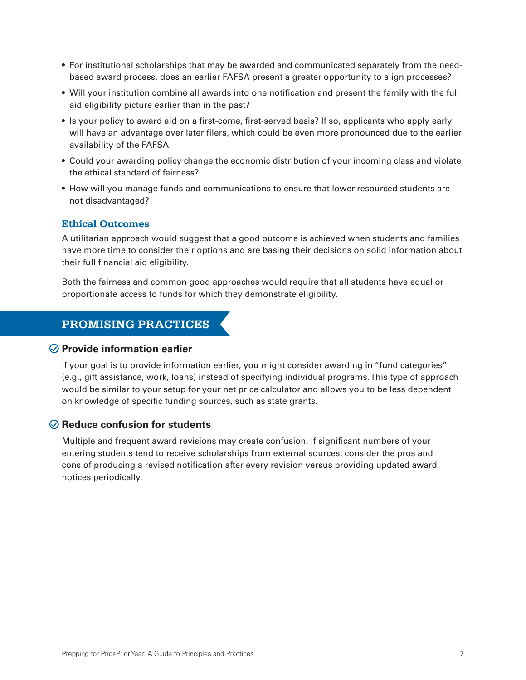- For institutional scholarships that may be awarded and communicated separately from the needbased award process, does an earlier FAFSA present a greater opportunity to align processes?
- Will your institution combine all awards into one notification and present the family with the full aid eligibility picture earlier than in the past?
- Is your policy to award aid on a first-come, first-served basis? If so, applicants who apply early will have an advantage over later filers, which could be even more pronounced due to the earlier availability of the FAFSA.
- Could your awarding policy change the economic distribution of your incoming class and violate the ethical standard of fairness?
- How will you manage funds and communications to ensure that lower-resourced students are not disadvantaged?

## **Ethical Outcomes**

A utilitarian approach would suggest that a good outcome is achieved when students and families have more time to consider their options and are basing their decisions on solid information about their full financial aid eligibility.

Both the fairness and common good approaches would require that all students have equal or proportionate access to funds for which they demonstrate eligibility.

## **PROMISING PRACTICES**

## **Provide information earlier**

If your goal is to provide information earlier, you might consider awarding in "fund categories" (e.g., gift assistance, work, loans) instead of specifying individual programs. This type of approach would be similar to your setup for your net price calculator and allows you to be less dependent on knowledge of specific funding sources, such as state grants.

## **Reduce confusion for students**

Multiple and frequent award revisions may create confusion. If significant numbers of your entering students tend to receive scholarships from external sources, consider the pros and cons of producing a revised notification after every revision versus providing updated award notices periodically.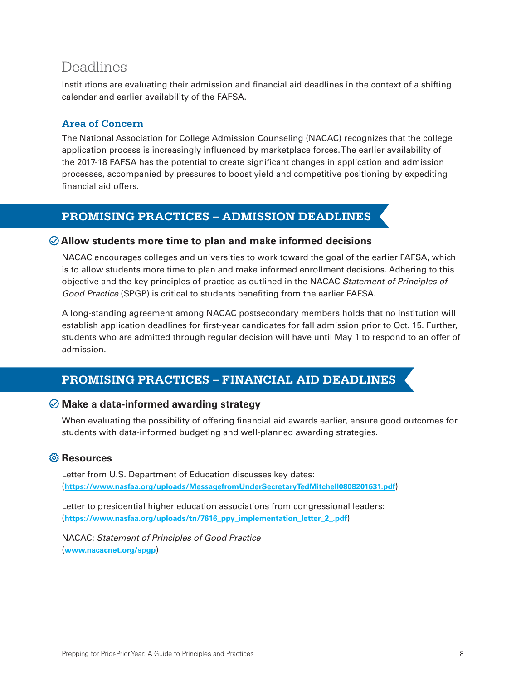## <span id="page-8-0"></span>Deadlines

Institutions are evaluating their admission and financial aid deadlines in the context of a shifting calendar and earlier availability of the FAFSA.

## **Area of Concern**

The National Association for College Admission Counseling (NACAC) recognizes that the college application process is increasingly influenced by marketplace forces. The earlier availability of the 2017-18 FAFSA has the potential to create significant changes in application and admission processes, accompanied by pressures to boost yield and competitive positioning by expediting financial aid offers.

## **PROMISING PRACTICES – ADMISSION DEADLINES**

## **Allow students more time to plan and make informed decisions**

NACAC encourages colleges and universities to work toward the goal of the earlier FAFSA, which is to allow students more time to plan and make informed enrollment decisions. Adhering to this objective and the key principles of practice as outlined in the NACAC *Statement of Principles of Good Practice* (SPGP) is critical to students benefiting from the earlier FAFSA.

A long-standing agreement among NACAC postsecondary members holds that no institution will establish application deadlines for first-year candidates for fall admission prior to Oct. 15. Further, students who are admitted through regular decision will have until May 1 to respond to an offer of admission.

## **PROMISING PRACTICES – FINANCIAL AID DEADLINES**

## **Make a data-informed awarding strategy**

When evaluating the possibility of offering financial aid awards earlier, ensure good outcomes for students with data-informed budgeting and well-planned awarding strategies.

## **Resources**

Letter from U.S. Department of Education discusses key dates: (**<https://www.nasfaa.org/uploads/MessagefromUnderSecretaryTedMitchell0808201631.pdf>**)

Letter to presidential higher education associations from congressional leaders: (**[https://www.nasfaa.org/uploads/tn/7616\\_ppy\\_implementation\\_letter\\_2\\_.pdf](https://www.nasfaa.org/uploads/tn/7616_ppy_implementation_letter_2_.pdf)**)

NACAC: *Statement of Principles of Good Practice*  (**<www.nacacnet.org/spgp>**)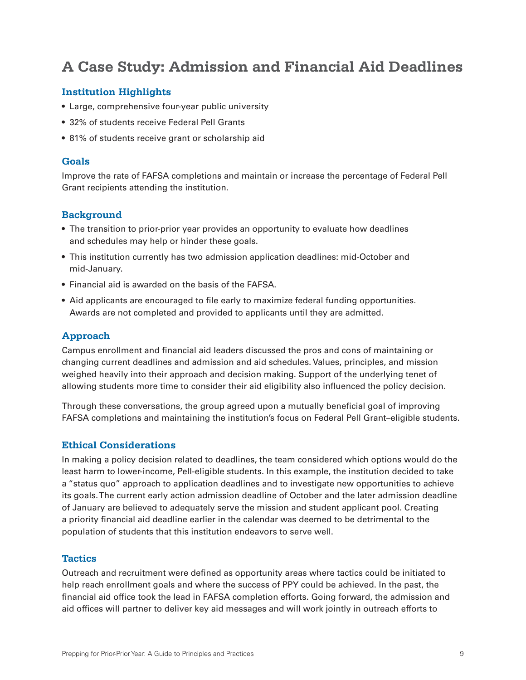## <span id="page-9-0"></span>**A Case Study: Admission and Financial Aid Deadlines**

## **Institution Highlights**

- Large, comprehensive four-year public university
- 32% of students receive Federal Pell Grants
- 81% of students receive grant or scholarship aid

## **Goals**

Improve the rate of FAFSA completions and maintain or increase the percentage of Federal Pell Grant recipients attending the institution.

## **Background**

- The transition to prior-prior year provides an opportunity to evaluate how deadlines and schedules may help or hinder these goals.
- This institution currently has two admission application deadlines: mid-October and mid-January.
- Financial aid is awarded on the basis of the FAFSA.
- Aid applicants are encouraged to file early to maximize federal funding opportunities. Awards are not completed and provided to applicants until they are admitted.

## **Approach**

Campus enrollment and financial aid leaders discussed the pros and cons of maintaining or changing current deadlines and admission and aid schedules. Values, principles, and mission weighed heavily into their approach and decision making. Support of the underlying tenet of allowing students more time to consider their aid eligibility also influenced the policy decision.

Through these conversations, the group agreed upon a mutually beneficial goal of improving FAFSA completions and maintaining the institution's focus on Federal Pell Grant–eligible students.

## **Ethical Considerations**

In making a policy decision related to deadlines, the team considered which options would do the least harm to lower-income, Pell-eligible students. In this example, the institution decided to take a "status quo" approach to application deadlines and to investigate new opportunities to achieve its goals. The current early action admission deadline of October and the later admission deadline of January are believed to adequately serve the mission and student applicant pool. Creating a priority financial aid deadline earlier in the calendar was deemed to be detrimental to the population of students that this institution endeavors to serve well.

#### **Tactics**

Outreach and recruitment were defined as opportunity areas where tactics could be initiated to help reach enrollment goals and where the success of PPY could be achieved. In the past, the financial aid office took the lead in FAFSA completion efforts. Going forward, the admission and aid offices will partner to deliver key aid messages and will work jointly in outreach efforts to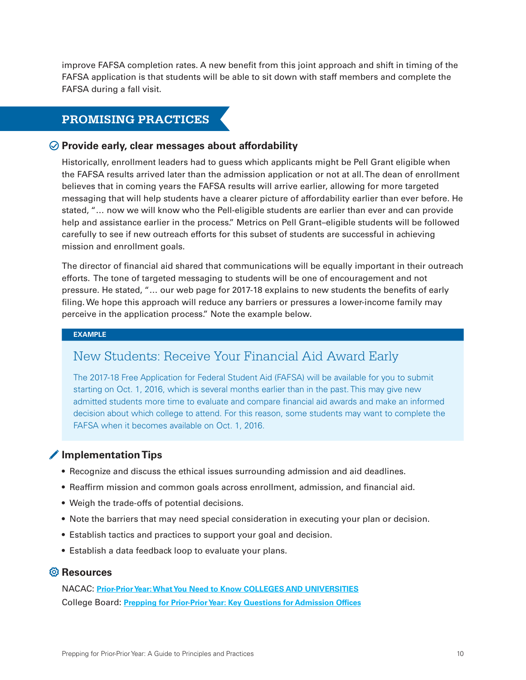improve FAFSA completion rates. A new benefit from this joint approach and shift in timing of the FAFSA application is that students will be able to sit down with staff members and complete the FAFSA during a fall visit.

## **PROMISING PRACTICES**

#### **Provide early, clear messages about affordability**

Historically, enrollment leaders had to guess which applicants might be Pell Grant eligible when the FAFSA results arrived later than the admission application or not at all. The dean of enrollment believes that in coming years the FAFSA results will arrive earlier, allowing for more targeted messaging that will help students have a clearer picture of affordability earlier than ever before. He stated, "… now we will know who the Pell-eligible students are earlier than ever and can provide help and assistance earlier in the process." Metrics on Pell Grant–eligible students will be followed carefully to see if new outreach efforts for this subset of students are successful in achieving mission and enrollment goals.

The director of financial aid shared that communications will be equally important in their outreach efforts. The tone of targeted messaging to students will be one of encouragement and not pressure. He stated, "… our web page for 2017-18 explains to new students the benefits of early filing. We hope this approach will reduce any barriers or pressures a lower-income family may perceive in the application process." Note the example below.

#### **EXAMPLE**

## New Students: Receive Your Financial Aid Award Early

The 2017-18 Free Application for Federal Student Aid (FAFSA) will be available for you to submit starting on Oct. 1, 2016, which is several months earlier than in the past. This may give new admitted students more time to evaluate and compare financial aid awards and make an informed decision about which college to attend. For this reason, some students may want to complete the FAFSA when it becomes available on Oct. 1, 2016.

## **Implementation Tips**

- Recognize and discuss the ethical issues surrounding admission and aid deadlines.
- Reaffirm mission and common goals across enrollment, admission, and financial aid.
- Weigh the trade-offs of potential decisions.
- Note the barriers that may need special consideration in executing your plan or decision.
- Establish tactics and practices to support your goal and decision.
- Establish a data feedback loop to evaluate your plans.

## **Resources**

NACAC: **[Prior-Prior Year: What You Need to Know COLLEGES AND UNIVERSITIES](http://www.nacacnet.org/issues-action/LegislativeNews/Documents/PPYAdmisson.pdf)**  College Board: **[Prepping for Prior-Prior Year: Key Questions for Admission Offices](https://www.youtube.com/watch?v=pF_rLQgfTPM)**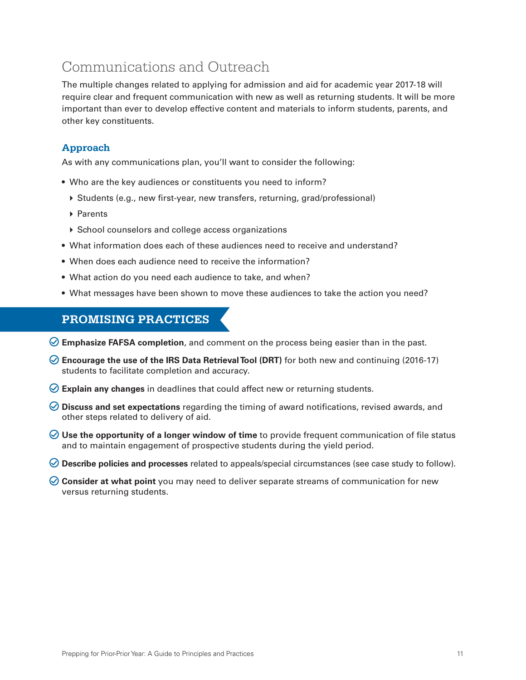## <span id="page-11-0"></span>Communications and Outreach

The multiple changes related to applying for admission and aid for academic year 2017-18 will require clear and frequent communication with new as well as returning students. It will be more important than ever to develop effective content and materials to inform students, parents, and other key constituents.

## **Approach**

As with any communications plan, you'll want to consider the following:

- Who are the key audiences or constituents you need to inform?
	- Students (e.g., new first-year, new transfers, returning, grad/professional)
	- ▶ Parents
	- ▶ School counselors and college access organizations
- What information does each of these audiences need to receive and understand?
- When does each audience need to receive the information?
- What action do you need each audience to take, and when?
- What messages have been shown to move these audiences to take the action you need?

## **PROMISING PRACTICES**

- **Emphasize FAFSA completion**, and comment on the process being easier than in the past.
- **Encourage the use of the IRS Data Retrieval Tool (DRT)** for both new and continuing (2016-17) students to facilitate completion and accuracy.
- **Explain any changes** in deadlines that could affect new or returning students.
- **Discuss and set expectations** regarding the timing of award notifications, revised awards, and other steps related to delivery of aid.
- **Use the opportunity of a longer window of time** to provide frequent communication of file status and to maintain engagement of prospective students during the yield period.
- **Describe policies and processes** related to appeals/special circumstances (see case study to follow).
- **Consider at what point** you may need to deliver separate streams of communication for new versus returning students.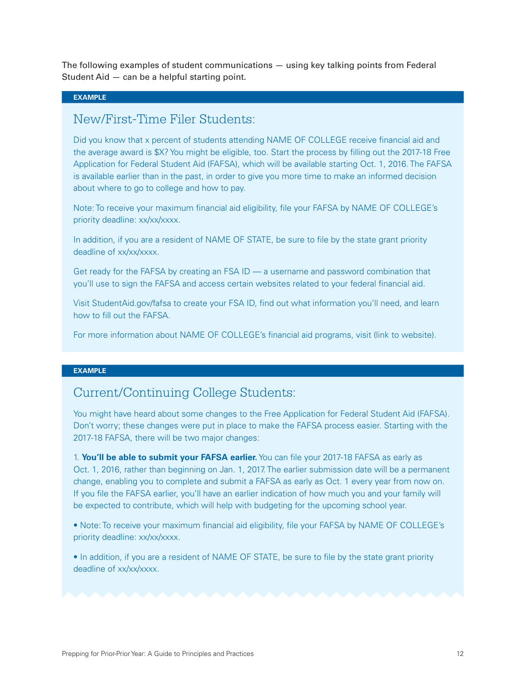The following examples of student communications — using key talking points from Federal Student Aid — can be a helpful starting point.

#### **EXAMPLE**

## New/First-Time Filer Students:

Did you know that x percent of students attending NAME OF COLLEGE receive financial aid and the average award is \$X? You might be eligible, too. Start the process by filling out the 2017-18 Free Application for Federal Student Aid (FAFSA), which will be available starting Oct. 1, 2016. The FAFSA is available earlier than in the past, in order to give you more time to make an informed decision about where to go to college and how to pay.

Note: To receive your maximum financial aid eligibility, file your FAFSA by NAME OF COLLEGE's priority deadline: xx/xx/xxxx.

In addition, if you are a resident of NAME OF STATE, be sure to file by the state grant priority deadline of xx/xx/xxxx.

Get ready for the FAFSA by creating an FSA ID — a username and password combination that you'll use to sign the FAFSA and access certain websites related to your federal financial aid.

Visit StudentAid.gov/fafsa to create your FSA ID, find out what information you'll need, and learn how to fill out the FAFSA.

For more information about NAME OF COLLEGE's financial aid programs, visit (link to website).

#### **EXAMPLE**

## Current/Continuing College Students:

You might have heard about some changes to the Free Application for Federal Student Aid (FAFSA). Don't worry; these changes were put in place to make the FAFSA process easier. Starting with the 2017-18 FAFSA, there will be two major changes:

1. **You'll be able to submit your FAFSA earlier.** You can file your 2017-18 FAFSA as early as Oct. 1, 2016, rather than beginning on Jan. 1, 2017. The earlier submission date will be a permanent change, enabling you to complete and submit a FAFSA as early as Oct. 1 every year from now on. If you file the FAFSA earlier, you'll have an earlier indication of how much you and your family will be expected to contribute, which will help with budgeting for the upcoming school year.

• Note: To receive your maximum financial aid eligibility, file your FAFSA by NAME OF COLLEGE's priority deadline: xx/xx/xxxx.

• In addition, if you are a resident of NAME OF STATE, be sure to file by the state grant priority deadline of xx/xx/xxxx.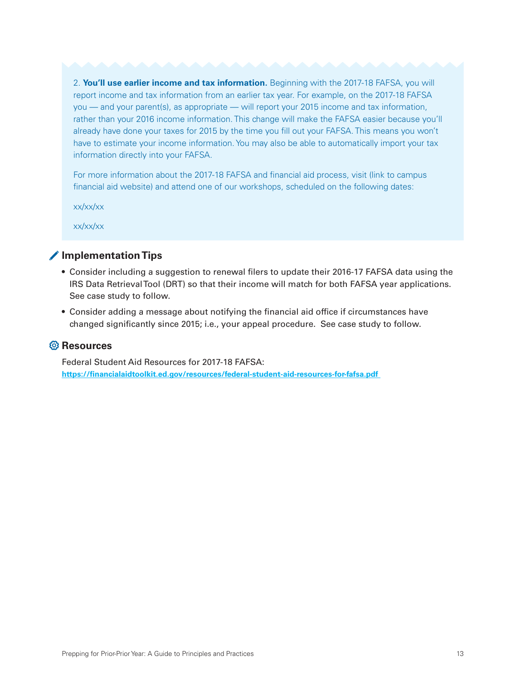<span id="page-13-0"></span>2. **You'll use earlier income and tax information.** Beginning with the 2017-18 FAFSA, you will report income and tax information from an earlier tax year. For example, on the 2017-18 FAFSA you — and your parent(s), as appropriate — will report your 2015 income and tax information, rather than your 2016 income information. This change will make the FAFSA easier because you'll already have done your taxes for 2015 by the time you fill out your FAFSA. This means you won't have to estimate your income information. You may also be able to automatically import your tax information directly into your FAFSA.

For more information about the 2017-18 FAFSA and financial aid process, visit (link to campus financial aid website) and attend one of our workshops, scheduled on the following dates:

xx/xx/xx

xx/xx/xx

## **Implementation Tips**

- Consider including a suggestion to renewal filers to update their 2016-17 FAFSA data using the IRS Data Retrieval Tool (DRT) so that their income will match for both FAFSA year applications. See case study to follow.
- Consider adding a message about notifying the financial aid office if circumstances have changed significantly since 2015; i.e., your appeal procedure. See case study to follow.

## **Resources**

Federal Student Aid Resources for 2017-18 FAFSA: **<https://financialaidtoolkit.ed.gov/resources/federal-student-aid-resources-for-fafsa.pdf>**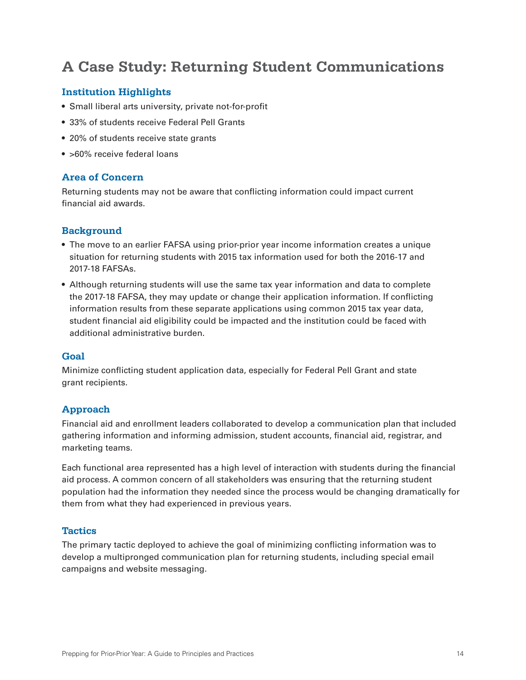## **A Case Study: Returning Student Communications**

## **Institution Highlights**

- Small liberal arts university, private not-for-profit
- 33% of students receive Federal Pell Grants
- 20% of students receive state grants
- >60% receive federal loans

## **Area of Concern**

Returning students may not be aware that conflicting information could impact current financial aid awards.

## **Background**

- The move to an earlier FAFSA using prior-prior year income information creates a unique situation for returning students with 2015 tax information used for both the 2016-17 and 2017-18 FAFSAs.
- Although returning students will use the same tax year information and data to complete the 2017-18 FAFSA, they may update or change their application information. If conflicting information results from these separate applications using common 2015 tax year data, student financial aid eligibility could be impacted and the institution could be faced with additional administrative burden.

## **Goal**

Minimize conflicting student application data, especially for Federal Pell Grant and state grant recipients.

## **Approach**

Financial aid and enrollment leaders collaborated to develop a communication plan that included gathering information and informing admission, student accounts, financial aid, registrar, and marketing teams.

Each functional area represented has a high level of interaction with students during the financial aid process. A common concern of all stakeholders was ensuring that the returning student population had the information they needed since the process would be changing dramatically for them from what they had experienced in previous years.

## **Tactics**

The primary tactic deployed to achieve the goal of minimizing conflicting information was to develop a multipronged communication plan for returning students, including special email campaigns and website messaging.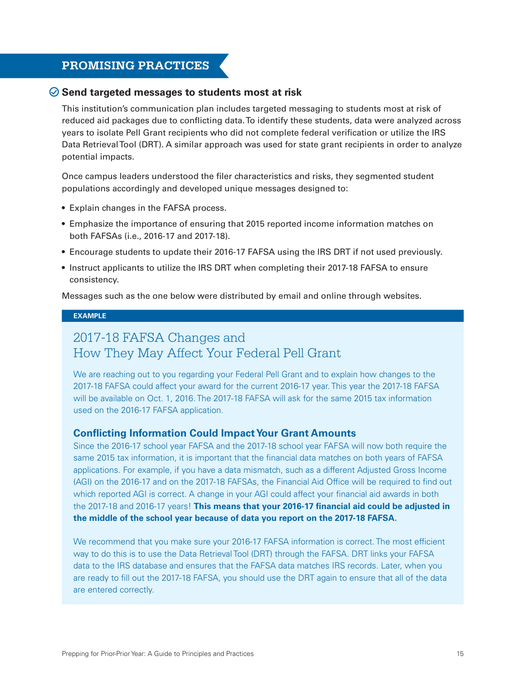## **PROMISING PRACTICES**

## **Send targeted messages to students most at risk**

This institution's communication plan includes targeted messaging to students most at risk of reduced aid packages due to conflicting data. To identify these students, data were analyzed across years to isolate Pell Grant recipients who did not complete federal verification or utilize the IRS Data Retrieval Tool (DRT). A similar approach was used for state grant recipients in order to analyze potential impacts.

Once campus leaders understood the filer characteristics and risks, they segmented student populations accordingly and developed unique messages designed to:

- Explain changes in the FAFSA process.
- Emphasize the importance of ensuring that 2015 reported income information matches on both FAFSAs (i.e., 2016-17 and 2017-18).
- Encourage students to update their 2016-17 FAFSA using the IRS DRT if not used previously.
- Instruct applicants to utilize the IRS DRT when completing their 2017-18 FAFSA to ensure consistency.

Messages such as the one below were distributed by email and online through websites.

#### **EXAMPLE**

## 2017-18 FAFSA Changes and How They May Affect Your Federal Pell Grant

We are reaching out to you regarding your Federal Pell Grant and to explain how changes to the 2017-18 FAFSA could affect your award for the current 2016-17 year. This year the 2017-18 FAFSA will be available on Oct. 1, 2016. The 2017-18 FAFSA will ask for the same 2015 tax information used on the 2016-17 FAFSA application.

## **Conflicting Information Could Impact Your Grant Amounts**

Since the 2016-17 school year FAFSA and the 2017-18 school year FAFSA will now both require the same 2015 tax information, it is important that the financial data matches on both years of FAFSA applications. For example, if you have a data mismatch, such as a different Adjusted Gross Income (AGI) on the 2016-17 and on the 2017-18 FAFSAs, the Financial Aid Office will be required to find out which reported AGI is correct. A change in your AGI could affect your financial aid awards in both the 2017-18 and 2016-17 years! **This means that your 2016-17 financial aid could be adjusted in the middle of the school year because of data you report on the 2017-18 FAFSA.** 

We recommend that you make sure your 2016-17 FAFSA information is correct. The most efficient way to do this is to use the Data Retrieval Tool (DRT) through the FAFSA. DRT links your FAFSA data to the IRS database and ensures that the FAFSA data matches IRS records. Later, when you are ready to fill out the 2017-18 FAFSA, you should use the DRT again to ensure that all of the data are entered correctly.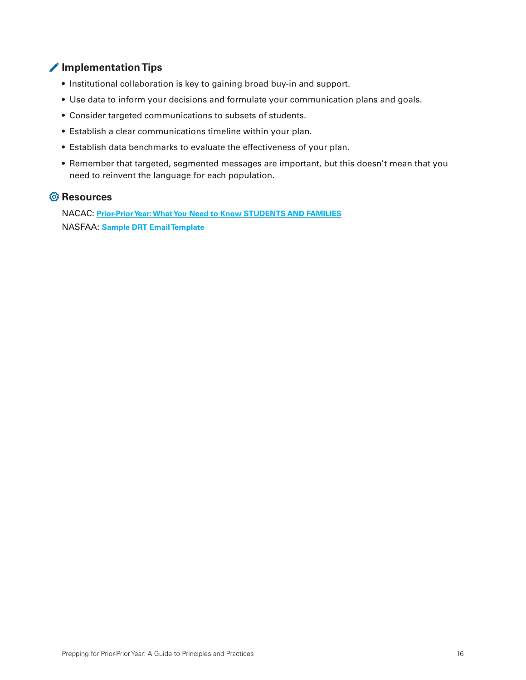## <span id="page-16-0"></span>**Implementation Tips**

- Institutional collaboration is key to gaining broad buy-in and support.
- Use data to inform your decisions and formulate your communication plans and goals.
- Consider targeted communications to subsets of students.
- Establish a clear communications timeline within your plan.
- Establish data benchmarks to evaluate the effectiveness of your plan.
- Remember that targeted, segmented messages are important, but this doesn't mean that you need to reinvent the language for each population.

## **Resources**

NACAC: **[Prior-Prior Year:What You Need to Know S](http://www.nacacnet.org/issues-action/LegislativeNews/Documents/PPYStudents.pdf)TUDENTS AND FAMILIES**  NASFAA: **[Sample DRT Email Template](https://www.nasfaa.org/news-item/8603/Avoid_Conflicting_Information)**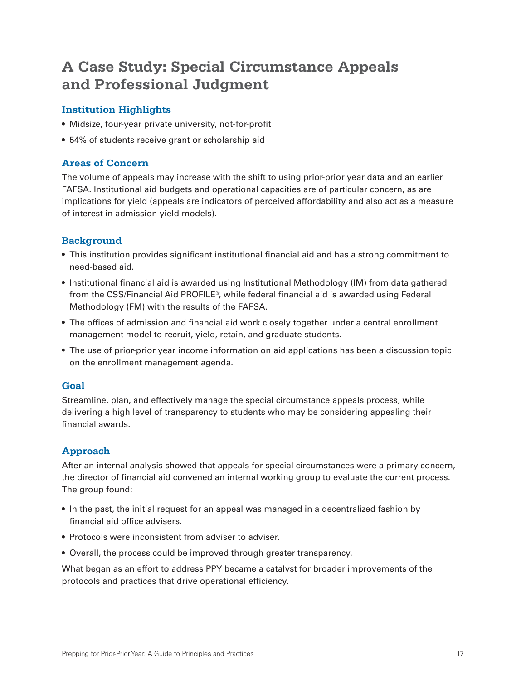## **A Case Study: Special Circumstance Appeals and Professional Judgment**

## **Institution Highlights**

- Midsize, four-year private university, not-for-profit
- 54% of students receive grant or scholarship aid

## **Areas of Concern**

The volume of appeals may increase with the shift to using prior-prior year data and an earlier FAFSA. Institutional aid budgets and operational capacities are of particular concern, as are implications for yield (appeals are indicators of perceived affordability and also act as a measure of interest in admission yield models).

## **Background**

- This institution provides significant institutional financial aid and has a strong commitment to need-based aid.
- Institutional financial aid is awarded using Institutional Methodology (IM) from data gathered from the CSS/Financial Aid PROFILE®, while federal financial aid is awarded using Federal Methodology (FM) with the results of the FAFSA.
- The offices of admission and financial aid work closely together under a central enrollment management model to recruit, yield, retain, and graduate students.
- The use of prior-prior year income information on aid applications has been a discussion topic on the enrollment management agenda.

## **Goal**

Streamline, plan, and effectively manage the special circumstance appeals process, while delivering a high level of transparency to students who may be considering appealing their financial awards.

## **Approach**

After an internal analysis showed that appeals for special circumstances were a primary concern, the director of financial aid convened an internal working group to evaluate the current process. The group found:

- In the past, the initial request for an appeal was managed in a decentralized fashion by financial aid office advisers.
- Protocols were inconsistent from adviser to adviser.
- Overall, the process could be improved through greater transparency.

What began as an effort to address PPY became a catalyst for broader improvements of the protocols and practices that drive operational efficiency.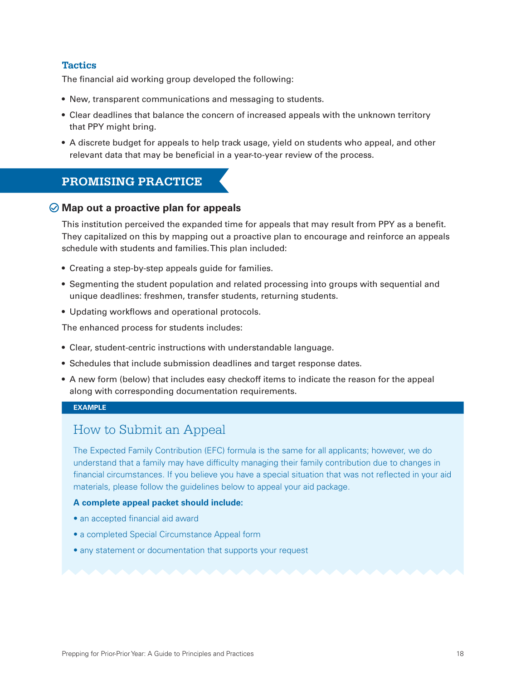## **Tactics**

The financial aid working group developed the following:

- New, transparent communications and messaging to students.
- Clear deadlines that balance the concern of increased appeals with the unknown territory that PPY might bring.
- A discrete budget for appeals to help track usage, yield on students who appeal, and other relevant data that may be beneficial in a year-to-year review of the process.

## **PROMISING PRACTICE**

## **Map out a proactive plan for appeals**

This institution perceived the expanded time for appeals that may result from PPY as a benefit. They capitalized on this by mapping out a proactive plan to encourage and reinforce an appeals schedule with students and families. This plan included:

- Creating a step-by-step appeals guide for families.
- Segmenting the student population and related processing into groups with sequential and unique deadlines: freshmen, transfer students, returning students.
- Updating workflows and operational protocols.

The enhanced process for students includes:

- Clear, student-centric instructions with understandable language.
- Schedules that include submission deadlines and target response dates.
- A new form (below) that includes easy checkoff items to indicate the reason for the appeal along with corresponding documentation requirements.

## **EXAMPLE**

## How to Submit an Appeal

The Expected Family Contribution (EFC) formula is the same for all applicants; however, we do understand that a family may have difficulty managing their family contribution due to changes in financial circumstances. If you believe you have a special situation that was not reflected in your aid materials, please follow the guidelines below to appeal your aid package.

#### **A complete appeal packet should include:**

- an accepted financial aid award
- a completed Special Circumstance Appeal form
- any statement or documentation that supports your request